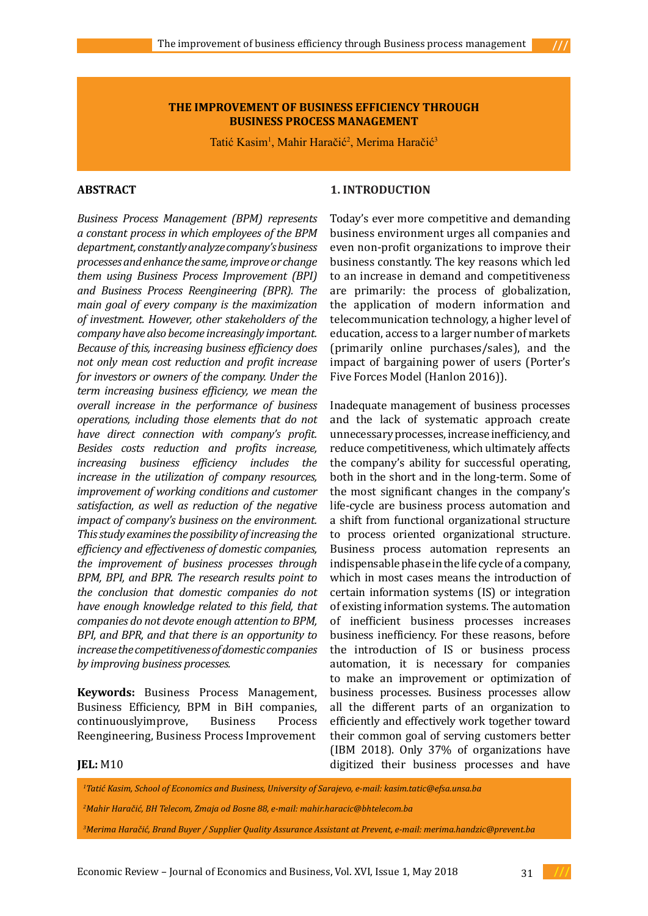#### **THE IMPROVEMENT OF BUSINESS EFFICIENCY THROUGH BUSINESS PROCESS MANAGEMENT**

Tatić Kasim<sup>1</sup>, Mahir Haračić<sup>2</sup>, Merima Haračić<sup>3</sup>

## **ABSTRACT**

*Business Process Management (BPM) represents a constant process in which employees of the BPM department, constantly analyze company's business processes and enhance the same, improve or change them using Business Process Improvement (BPI) and Business Process Reengineering (BPR). The main goal of every company is the maximization of investment. However, other stakeholders of the company have also become increasingly important. Because of this, increasing business efficiency does not only mean cost reduction and profit increase for investors or owners of the company. Under the term increasing business efficiency, we mean the overall increase in the performance of business operations, including those elements that do not have direct connection with company's profit. Besides costs reduction and profits increase, increasing business efficiency includes the increase in the utilization of company resources, improvement of working conditions and customer satisfaction, as well as reduction of the negative impact of company's business on the environment. This study examines the possibility of increasing the efficiency and effectiveness of domestic companies, the improvement of business processes through BPM, BPI, and BPR. The research results point to the conclusion that domestic companies do not have enough knowledge related to this field, that companies do not devote enough attention to BPM, BPI, and BPR, and that there is an opportunity to increase the competitiveness of domestic companies by improving business processes.*

**Keywords:** Business Process Management, Business Efficiency, BPM in BiH companies,<br>continuouslyimprove. Business Process continuouslyimprove, Reengineering, Business Process Improvement

#### **1. INTRODUCTION**

Today's ever more competitive and demanding business environment urges all companies and even non-profit organizations to improve their business constantly. The key reasons which led to an increase in demand and competitiveness are primarily: the process of globalization, the application of modern information and telecommunication technology, a higher level of education, access to a larger number of markets (primarily online purchases/sales), and the impact of bargaining power of users (Porter's Five Forces Model [\(Hanlon](https://www.smartinsights.com/author/annmarie-hanlon/) 2016)).

Inadequate management of business processes and the lack of systematic approach create unnecessary processes, increase inefficiency, and reduce competitiveness, which ultimately affects the company's ability for successful operating, both in the short and in the long-term. Some of the most significant changes in the company's life-cycle are business process automation and a shift from functional organizational structure to process oriented organizational structure. Business process automation represents an indispensable phase in the life cycle of a company, which in most cases means the introduction of certain information systems (IS) or integration of existing information systems. The automation of inefficient business processes increases business inefficiency. For these reasons, before the introduction of IS or business process automation, it is necessary for companies to make an improvement or optimization of business processes. Business processes allow all the different parts of an organization to efficiently and effectively work together toward their common goal of serving customers better (IBM 2018). Only 37% of organizations have digitized their business processes and have

#### **JEL:** M10

*1 Tatić Kasim, School of Economics and Business, University of Sarajevo, e-mail: kasim.tatic@efsa.unsa.ba*

*2 Mahir Haračić, BH Telecom, Zmaja od Bosne 88, e-mail: mahir.haracic@bhtelecom.ba* 

*3 Merima Haračić, Brand Buyer / Supplier Quality Assurance Assistant at Prevent, e-mail: merima.handzic@prevent.ba*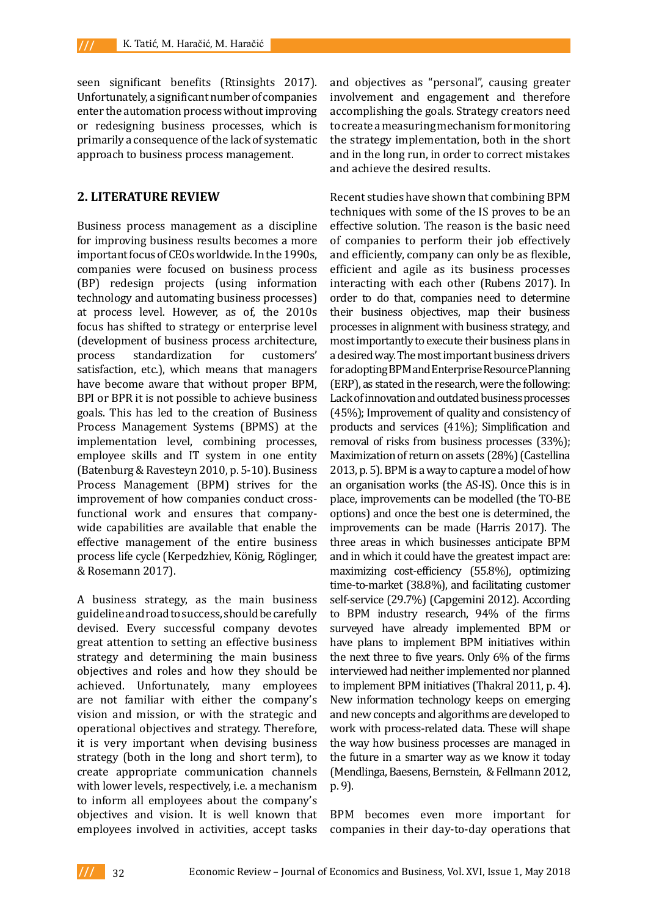seen significant benefits (Rtinsights 2017). Unfortunately, a significant number of companies enter the automation process without improving or redesigning business processes, which is primarily a consequence of the lack of systematic approach to business process management.

#### **2. LITERATURE REVIEW**

Business process management as a discipline for improving business results becomes a more important focus of CEOs worldwide. In the 1990s, companies were focused on business process (BP) redesign projects (using information technology and automating business processes) at process level. However, as of, the 2010s focus has shifted to strategy or enterprise level (development of business process architecture,<br>process standardization for customers' standardization satisfaction, etc.), which means that managers have become aware that without proper BPM, BPI or BPR it is not possible to achieve business goals. This has led to the creation of Business Process Management Systems (BPMS) at the implementation level, combining processes, employee skills and IT system in one entity (Batenburg & Ravesteyn 2010, p. 5-10). Business Process Management (BPM) strives for the improvement of how companies conduct crossfunctional work and ensures that companywide capabilities are available that enable the effective management of the entire business process life cycle (Kerpedzhiev, König, Röglinger, & Rosemann 2017).

A business strategy, as the main business guideline and road to success, should be carefully devised. Every successful company devotes great attention to setting an effective business strategy and determining the main business objectives and roles and how they should be achieved. Unfortunately, many employees are not familiar with either the company's vision and mission, or with the strategic and operational objectives and strategy. Therefore, it is very important when devising business strategy (both in the long and short term), to create appropriate communication channels with lower levels, respectively, i.e. a mechanism to inform all employees about the company's objectives and vision. It is well known that employees involved in activities, accept tasks

and objectives as "personal", causing greater involvement and engagement and therefore accomplishing the goals. Strategy creators need to create a measuring mechanism for monitoring the strategy implementation, both in the short and in the long run, in order to correct mistakes and achieve the desired results.

Recent studies have shown that combining BPM techniques with some of the IS proves to be an effective solution. The reason is the basic need of companies to perform their job effectively and efficiently, company can only be as flexible, efficient and agile as its business processes interacting with each other [\(Rubens](https://www.cio.com/author/Paul-Rubens/) 2017). In order to do that, companies need to determine their business objectives, map their business processes in alignment with business strategy, and most importantly to execute their business plans in a desired way. The most important business drivers for adopting BPM and Enterprise Resource Planning (ERP), as stated in the research, were the following: Lack of innovation and outdated business processes (45%); Improvement of quality and consistency of products and services (41%); Simplification and removal of risks from business processes (33%); Maximization of return on assets (28%) (Castellina 2013, p. 5). BPM is away to capture a model of how an organisation works (the AS-IS). Once this is in place, improvements can be modelled (the TO-BE options) and once the best one is determined, the improvements can be made (Harris 2017). The three areas in which businesses anticipate BPM and in which it could have the greatest impact are: maximizing cost-efficiency (55.8%), optimizing time-to-market (38.8%), and facilitating customer self-service (29.7%) (Capgemini 2012). According to BPM industry research, 94% of the firms surveyed have already implemented BPM or have plans to implement BPM initiatives within the next three to five years. Only 6% of the firms interviewed had neither implemented nor planned to implement BPM initiatives (Thakral 2011, p. 4). New information technology keeps on emerging and new concepts and algorithms are developed to work with process-related data. These will shape the way how business processes are managed in the future in a smarter way as we know it today (Mendlinga, Baesens, Bernstein, & Fellmann 2012, p. 9).

BPM becomes even more important for companies in their day-to-day operations that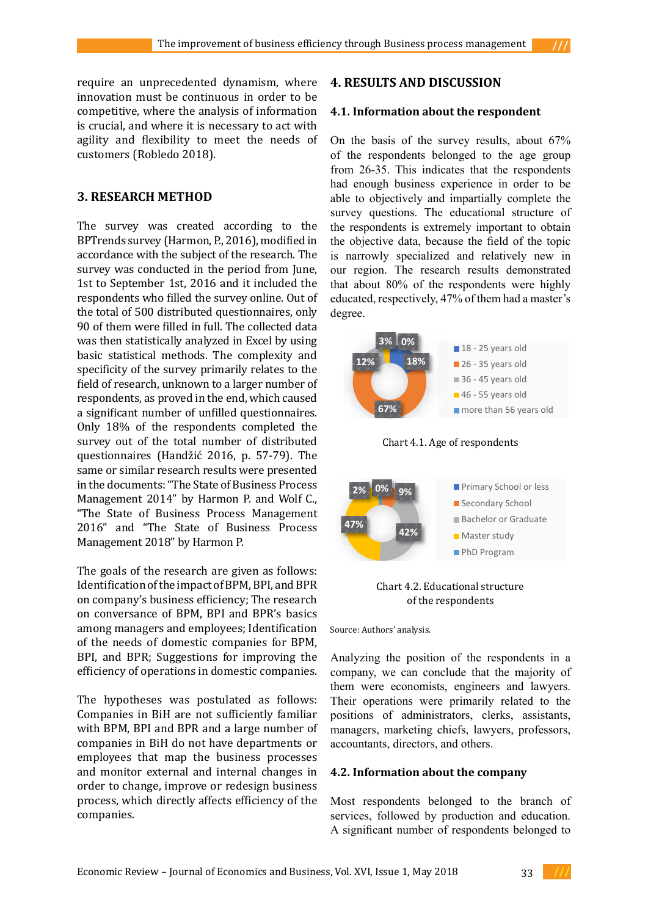require an unprecedented dynamism, where innovation must be continuous in order to be competitive, where the analysis of information is crucial, and where it is necessary to act with agility and flexibility to meet the needs of customers [\(Robledo](http://blog.triaster.co.uk/blog/author/pedro-robledo) 2018).

# **3. RESEARCH METHOD**

The survey was created according to the BPTrends survey (Harmon, P., 2016), modified in accordance with the subject of the research. The survey was conducted in the period from June, 1st to September 1st, 2016 and it included the respondents who filled the survey online. Out of the total of 500 distributed questionnaires, only 90 of them were filled in full. The collected data was then statistically analyzed in Excel by using basic statistical methods. The complexity and specificity of the survey primarily relates to the  $\frac{1}{2}$  of the respondents belonged to the age group of the respondents belonged to the age group of the respondents belonged to the age group of the survey of the surv field of research, unknown to a larger number of the respondents had enough business that the research in order respondents, as proved in the end, which caused and impartially complete the survey of the survey of the survey of the survey of the survey of the survey of the survey of the survey of the survey of the survey of the surve a significant number of unfilled questionnaires.<br>
a significant to obtain the objective data, because the field of the field of the field of the field of the f Only 18% of the respondents completed the survey out of the total number of distributed Chart 4.1. Age of respondents were highly educated that about 80% of the respectively,  $\overline{AB}$  and  $\overline{BA}$  and  $\overline{BA}$  and  $\overline{BA}$  and  $\overline{BA}$  and  $\overline{BA}$  and  $\overline{BA}$  an questionnaires (Handžić 2016, p. 57-79). The same or similar research results were presented in the documents: "The State of Business Process in the documents: "The State of Business Process<br>Management 2014" by Harmon P. and Wolf C.<mark>,</mark> **18 State of Business Process Management** 2016" and "The State of Business Process Management 2018" by Harmon P. **4.1.Information about the respondent**

The goals of the research are given as follows: Identification of the impact of BPM, BPI, and BPR Chart 4.1: Age of respondents Chart 4.2: Educational structure of the on company's business efficiency; The research on conversance of BPM, BPI and BPR's basics among managers and employees; Identification of the needs of domestic companies for BPM, BPI, and BPR; Suggestions for improving the Analyzing the position of the respondents in a efficiency of operations in domestic companies.

The hypotheses was postulated as follows: Companies in BiH are not sufficiently familiar with BPM, BPI and BPR and a large number of companies in BiH do not have departments or employees that map the business processes and monitor external and internal changes in **4.2. Information about the company** order to change, improve or redesign business process, which directly affects efficiency of the companies.

# **4. RESULTS AND DISCUSSION**

#### **4.1. Information about the respondent**

ility and flexibility to meet the needs of On the basis of the survey results, about  $67\%$ of the respondents belonged to the age group from 26-35. This indicates that the respondents **had enough business experience in order to be** hypotheses was postulated as follows: Companies was postulated as  $\frac{1}{\sqrt{2}}$ **RESEARCH METHOD** able to objectively and impartially complete the survey questions. The educational structure of e survey was created according to the the respondents is extremely important to obtain the objective data, because the field of the topic is narrowly specialized and relatively new in our region. The research results demonstrated that about 80% of the respondents were highly educated, respectively, 47% of them had a master's degree.



Chart 4.2. Educational structure of the respondents

PhD Program

Source: Authors' analysis.

Analyzing the position of the respondents in a iciency of operations in domestic companies. company, we can conclude that the majority of them were economists, engineers and lawyers. Their operations were primarily related to the positions of administrators, clerks, assistants, managers, marketing chiefs, lawyers, professors, accountants, directors, and others.

## **4.2. Information about the company**

ocess, which directly affects efficiency of the Most respondents belonged to the branch of mpanies. The matrices of matrices as well as the services, followed by production and education. A significant number of respondents belonged to

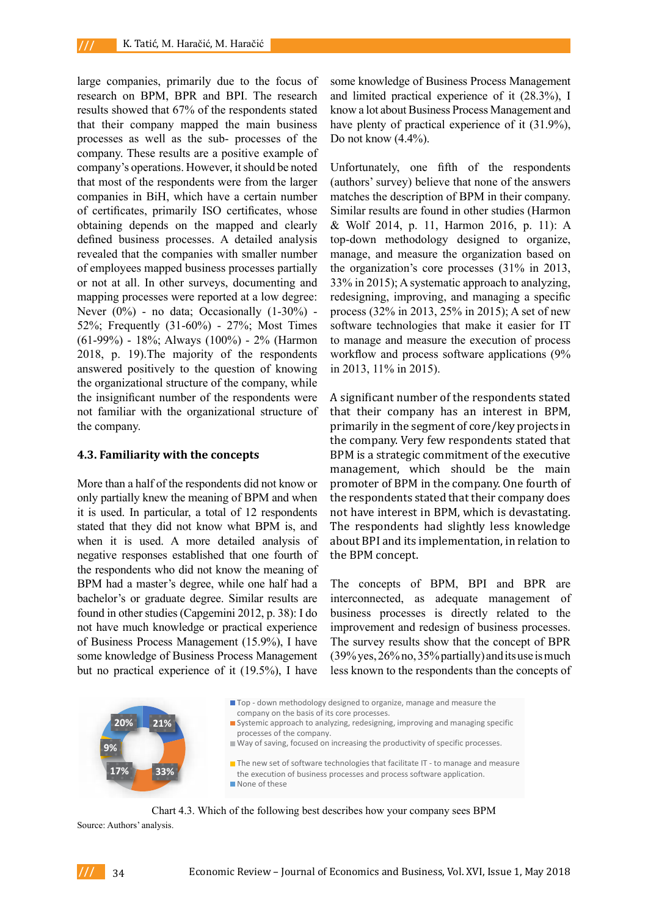large companies, primarily due to the focus of research on BPM, BPR and BPI. The research results showed that 67% of the respondents stated that their company mapped the main business processes as well as the sub- processes of the company. These results are a positive example of company's operations. However, it should be noted that most of the respondents were from the larger companies in BiH, which have a certain number of certificates, primarily ISO certificates, whose obtaining depends on the mapped and clearly defined business processes. A detailed analysis revealed that the companies with smaller number of employees mapped business processes partially or not at all. In other surveys, documenting and  $33\%$  in 2015), A systematic approach to analy mapping processes were reported at a low degree: redesigning, improving, and managing a s Never  $(0\%)$  - no data; Occasionally  $(1-30\%)$  - process  $(32\%$  in 2013, 25% in 2015); A set of example  $(1-30\%)$ 52%; Frequently  $(31-60\%)$  - 27%; Most Times software technologies that make it easier (61-99%) - 18%; Always (100%) - 2% (Harmon  $(01-99\%)$  - 18%, Always  $(100\%)$  - 27% (Hallholds) to manage and incastic the execution of  $\beta$  2018, p. 19). The majority of the respondents workflow and process software application  $2016$ , p. 19), the majority of the respondents workhow and process software approaches answered positively to the question of knowing in 2013, 11% in 2015). the organizational structure of the company, while  $\frac{1}{20}$  and  $\frac{1}{20}$  and  $\frac{1}{20}$ . the insignificant number of the respondents were A significant number of the respondents s not familiar with the organizational structure of the company.

#### **4.3. Familiarity with the concepts 4.3.Familiarity with the concepts**

More than a half of the respondents did not know or only partially knew the meaning of BPM and when the respondents stated that their company only partially knew the meaning of BPM and when it is used. In particular, a total of 12 respondents not have interest in BPM, which is devast stated that they did not know what BPM is, and The respondents had slightly less know when it is used. A more detailed analysis of about BPI and its implementation, in relat negative responses established that one fourth of the BPM concept. the respondents who did not know the meaning of BPM had a master's degree, while one half had a The concepts of BPM, BPI and BPF bachelor's or graduate degree. Similar results are interconnected, as adequate management found in other studies (Capgemini 2012, p. 38): I do business processes is directly related to not have much knowledge or practical experience improvement and redesign of business proc of Business Process Management (15.9%), I have some knowledge of Business Process Management but no practical experience of it  $(19.5\%)$ , I have less known to the respondents than the conce matches the description of BPM in their company.

some knowledge of Business Process Management and limited practical experience of it (28.3%), I know a lot about Business Process Management and have plenty of practical experience of it  $(31.9\%),$ Do not know (4.4%).

Unfortunately, one fifth of the respondents (authors' survey) believe that none of the answers matches the description of BPM in their company. Similar results are found in other studies (Harmon & Wolf 2014, p. 11, Harmon 2016, p. 11): A top-down methodology designed to organize, manage, and measure the organization based on the organization's core processes (31% in 2013, 33% in 2015); A systematic approach to analyzing, redesigning, improving, and managing a specific process (32% in 2013, 25% in 2015); A set of new software technologies that make it easier for IT to manage and measure the execution of process workflow and process software applications (9% in 2013, 11% in 2015).

A significant number of the respondents stated that their company has an interest in BPM, primarily in the segment of core/key projects in the company. Very few respondents stated that BPM is a strategic commitment of the executive management, which should be the main promoter of BPM in the company. One fourth of the respondents stated that their company does not have interest in BPM, which is devastating. The respondents had slightly less knowledge about BPI and its implementation, in relation to the BPM concept.

The concepts of BPM, BPI and BPR are interconnected, as adequate management of business processes is directly related to the improvement and redesign of business processes. The survey results show that the concept of BPR (39% yes, 26% no, 35% partially) and its use is much less known to the respondents than the concepts of



Chart 4.3: Which of the following best describes how your company sees BPM Chart 4.3. Which of the following best describes how your company sees BPM

Source: Authors' analysis.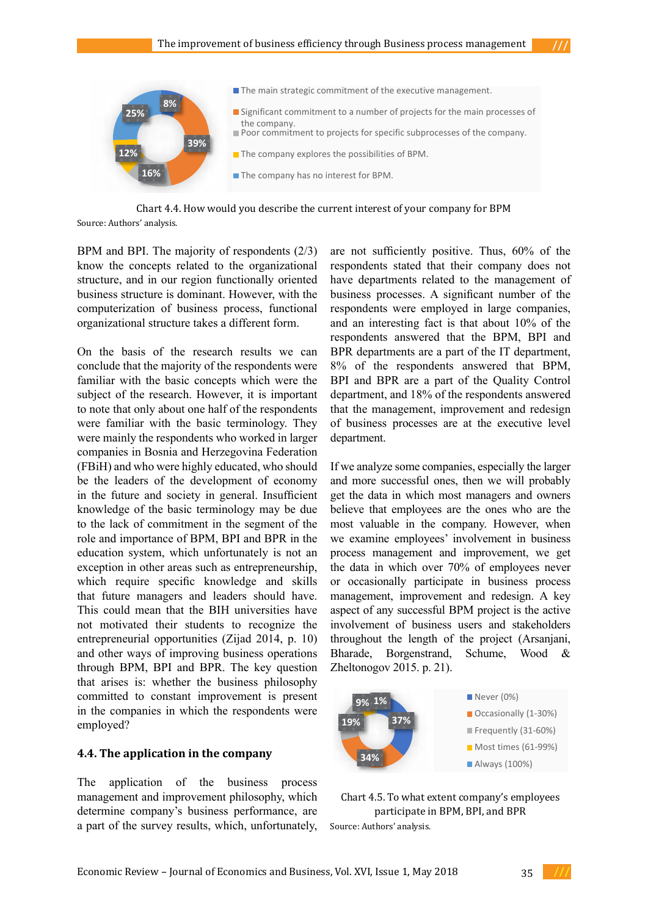

Chart 4.4. How would you describe the current interest of your company for BPM Chart 4.4: How would you describe the current interest of your company for BPM Source: Authors' analysis.

BPM and BPI. The majority of respondents  $(2/3)$ know the concepts related to the organizational structure, and in our region functionally oriented business structure is dominant. However, with the business processes. A significant number of the computerization of business process, functional respondents were employed in large companie organizational structure takes a different form.

On the basis of the research results we can conclude that the majority of the respondents were  $8\%$  of the respondents familiar with the basic concepts which were the subject of the research. However, it is important department, and 18% of the respondents answere to note that only about one half of the respondents that the management, improvement and redesign were familiar with the basic terminology. They were mainly the respondents who worked in larger department. companies in Bosnia and Herzegovina Federation (FBIH) and who were highly educated to the management of business processes. (FBiH) and who were highly educated, who should If we analyze some companies, especially the larg be the leaders of the development of economy and more successful ones, then we will probab in the future and society in general. Insufficient get the data in which most managers and owne knowledge of the basic terminology may be due believe that employees are the ones who are the to the lack of commitment in the segment of the most valuable in the company. However, wh role and importance of BPM, BPI and BPR in the we examine employees' involvement in busine education system, which unfortunately is not an process management and improvement, we g exception in other areas such as entrepreneurship, the data in which over 70% of employees nev which require specific knowledge and skills or occasionally participate in busi that future managers and leaders should have. This could mean that the BIH universities have not motivated their students to recognize the entrepreneurial opportunities (Zijad 2014, p. 10) and other ways of improving business operations Bharade, Borgenstrand, Schume, Wood & through BPM, BPI and BPR. The key question  $Z$ heltonogov 2015. p. 21). that arises is: whether the business philosophy committed to constant improvement is present in the companies in which the respondents were employed? were familiar with the basic terminology. They of business processes are at the executive level

#### **4.4. The application in the company**

The application of the business process management and improvement philosophy, which determine company's business performance, are a part of the survey results, which, unfortunately, The largest companies in the world build business on innovation and improving the world business on innovation

are not sufficiently positive. Thus, 60% of the respondents stated that their company does not structure, and in our region functionally oriented have departments related to the management of business processes. A significant number of the respondents were employed in large companies, organizational structure takes a different form. and an interesting fact is that about 10% of the respondents answered that the BPM, BPI and On the basis of the research results we can BPR departments are a part of the IT department, 8% of the respondents answered that BPM, BPI and BPR are a part of the Quality Control department, and 18% of the respondents answered that the management, improvement and redesign department.

> highly educated, who should If we analyze some companies, especially the larger e development of economy and more successful ones, then we will probably get the data in which most managers and owners are a part of the IT department, 8% of the respondents answered that BPM, BPI and BPR are sic terminology may be due believe that employees are the ones who are the tment in the segment of the most valuable in the company. However, when  $\epsilon$ we examine employees' involvement in business process management and improvement, we get eas such as entrepreneurship, the data in which over 70% of employees never ific knowledge and skills or occasionally participate in business process s and leaders should have. management, improvement and redesign. A key t the BIH universities have aspect of any successful BPM project is the active students to recognize the involvement of business users and stakeholders tunities (Zijad 2014, p. 10) throughout the length of the project (Arsanjani, Bharade, Borgenstrand, Schume, Wood & Zheltonogov 2015. p. 21).





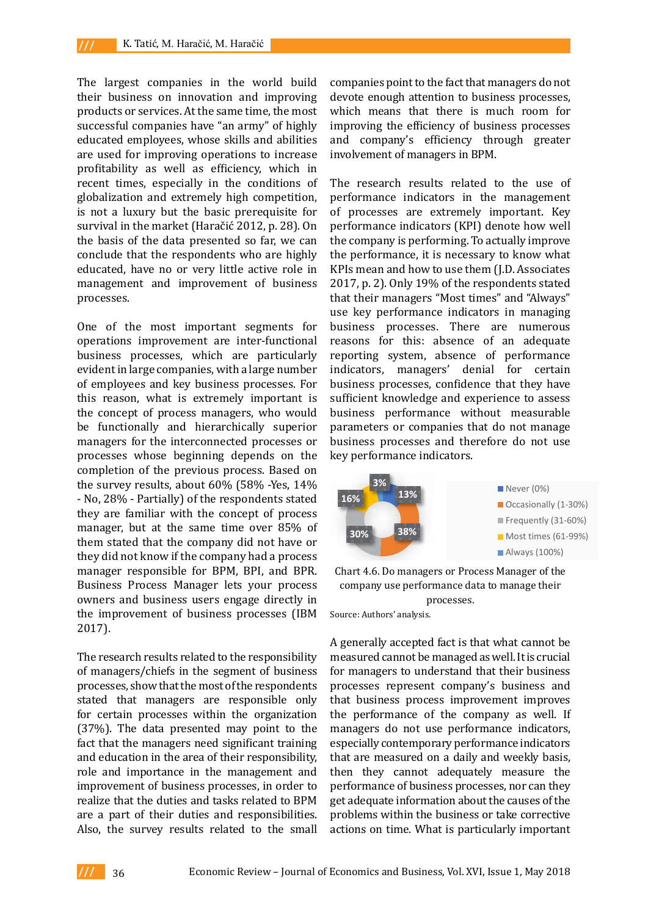The largest companies in the world build their business on innovation and improving products or services. At the same time, the most successful companies have "an army" of highly educated employees, whose skills and abilities are used for improving operations to increase profitability as well as efficiency, which in recent times, especially in the conditions of globalization and extremely high competition, is not a luxury but the basic prerequisite for survival in the market (Haračić 2012, p. 28). On the basis of the data presented so far, we can conclude that the respondents who are highly educated, have no or very little active role in management and improvement of business processes.

One of the most important segments for operations improvement are inter-functional business processes, which are particularly evident in large companies, with a large number of employees and key business processes. For this reason, what is extremely important is the concept of process managers, who would be functionally and hierarchically superior managers for the interconnected processes or processes whose beginning depends on the completion of the previous process. Based on the survey results, about 60% (58% -Yes, 14% - No, 28% - Partially) of the respondents stated they are familiar with the concept of process manager, but at the same time over 85% of them stated that the company did not have or they did not know if the company had a process manager responsible for BPM, BPI, and BPR. Business Process Manager lets your process owners and business users engage directly in the improvement of business processes (IBM Source: Authors' analysis.<br>Contribution 2017).

The research results related to the responsibility meas of managers/chiefs in the segment of business processes, show that the most of the respondents stated that managers are responsible only for certain processes within the organization (37%). The data presented may point to the fact that the managers need significant training and education in the area of their responsibility, role and importance in the management and improvement of business processes, in order to realize that the duties and tasks related to BPM are a part of their duties and responsibilities. Also, the survey results related to the small

companies point to the fact that managers do not devote enough attention to business processes, which means that there is much room for improving the efficiency of business processes and company's efficiency through greater involvement of managers in BPM.

the conditions of The research results related to the use of y high competition, performance indicators in the management sic prerequisite for of processes are extremely important. Key ačić 2012, p. 28). On performance indicators (KPI) denote how well nted so far, we can the company is performing. To actually improve ents who are highly the performance, it is necessary to know what little active role in  $\epsilon$  KPIs mean and how to use them (J.D. Associates ement of business  $2017$ , p. 2). Only 19% of the respondents stated that their managers "Most times" and "Always" use key performance indicators in managing tant segments for business processes. There are numerous are inter-functional reasons for this: absence of an adequate h are particularly reporting system, absence of performance with a large number indicators, managers' denial for certain ness processes. For husiness processes, confidence that they have emely important is sufficient knowledge and experience to assess nagers, who would business performance without measurable archically superior parameters or companies that do not manage hected processes or business processes and therefore do not use key performance indicators.



PM, BPI, and BPR. Chart 4.6. Do managers or Process Manager of the company use performance data to manage their processes.

Source: Authors' analysis.

their processes. egineral of business and managed as and be managed as well. It is increased as well. It is in the measured cannot be managed as well. It is in the managed as well. It is in the managed as well. It is in the managed as well that the understand that the unique states of the understand that the unique states of the unique services improvement improves in the organization the performance of the company as well. If d may point to the managers do not use performance indicators, l significant training especially contemporary performance indicators their responsibility, that are measured on a daily and weekly basis, e management and then they cannot adequately measure the rocesses, in order to performance of business processes, nor can they asks related to BPM get adequate information about the causes of the ma basic component and business in the business of time corrective elated to the small actions on time. What is particularly important role of management, professional and competent statistical resources. The management statistical resources. A generally accepted fact is that what cannot be measured cannot be managed as well. It is crucial for managers to understand that their business problems within the business or take corrective

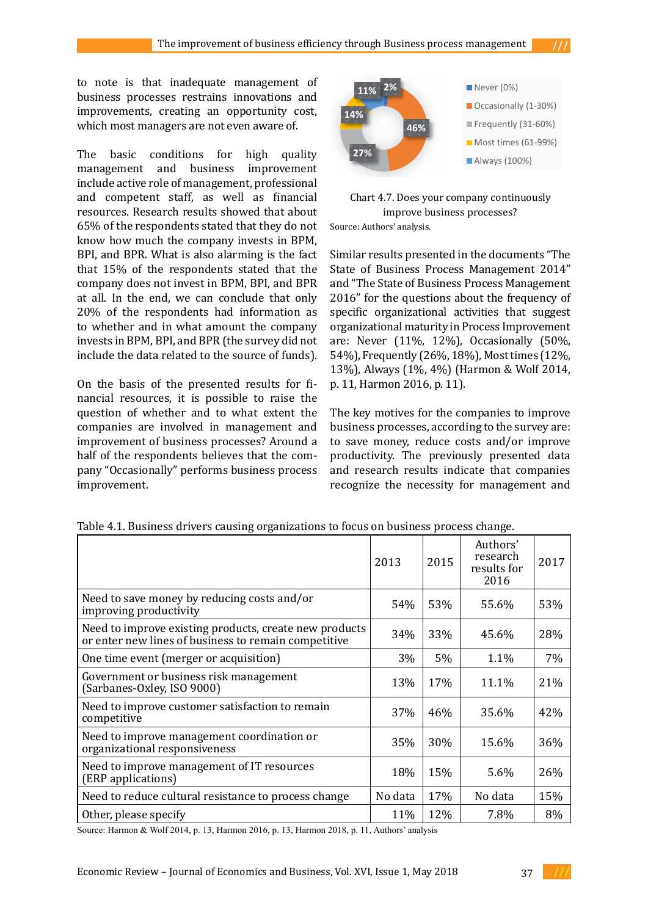**11%**  $2\%$  **11%**  $2\%$  **11%**  $2\%$ business processes restrains innovations and improvements, creating an opportunity cost, **14%** which most managers are not even aware of. **46%**

"Occasionally" performs business process improvement.

The basic conditions for high quality management and business improvement include active role of management, professional merade decrease of management, processional chart 4.7. Does your company continuously continuously continuously continuously continuously continuously continuously continuously continuously continuously continuously contin resources. Research results showed that about 65% of the respondents stated that they do not know how much the company invests in BPM, BPI, and BPR. What is also alarming is the fact that 15% of the respondents stated that the company does not invest in BPM, BPI, and BPR at all. In the end, we can conclude that only 20% of the respondents had information as to whether and in what amount the company invests in BPM, BPI, and BPR (the survey did not include the data related to the source of funds).  $SINR$ , we suppose the documents  $SINR$  of  $SINR$   $SINR$   $SINR$   $SINR$   $SINR$   $SINR$   $SINR$   $SINR$   $SINR$   $SINR$   $SINR$   $SINR$   $SINR$   $SINR$   $SINR$   $SINR$   $SINR$   $SINR$   $SINR$   $SINR$   $SINR$   $SINR$   $SINR$   $SINR$   $SINR$   $SINR$   $SINR$   $SINR$   $SINR$   $SINR$ 

On the basis of the presented results for fi-  $p. 11$ , Harmon 2016,  $p. 11$ ). nancial resources, it is possible to raise the question of whether and to what extent the companies are involved in management and improvement of business processes? Around a half of the respondents believes that the company "Occasionally" performs business process improvement.



Chart 4.7. Does your company continuously at about and improve improve business processes? Source: Authors' analysis.

and BPR. What is also alarming is the fact Similar results presented in the documents "The  $\frac{1}{2}$ 15% of the respondents stated that the State of Business Process Management 2014" pany does not invest in BPM, BPI, and BPR and "The State of Business Process Management Il. In the end, we can conclude that only  $2016$ " for the questions about the frequency of sts in BPM, BPI, and BPR (the survey did not are: Never (11%, 12%), Occasionally (50%, ude the data related to the source of funds). 54%), Frequently (26%, 18%), Most times (12%, 13%), Always  $(1\% , 4\%)$  (Harmon & Wolf 2014, improvement of business processes in the matrix of the matrix  $p$ . 11, Harmon 2016, p. 11). specific organizational activities that suggest organizational maturity in Process Improvement

ies are involved in management and business processes, according to the survey are: The key motives for the companies to improve to save money, reduce costs and/or improve productivity. The previously presented data and research results indicate that companies and research results maliated that companies and or improve 2016<br>2016<br>2016

|                                                                                                                | 2013    | 2015 | Authors'<br>research<br>results for<br>2016 | 2017 |
|----------------------------------------------------------------------------------------------------------------|---------|------|---------------------------------------------|------|
| Need to save money by reducing costs and/or<br>improving productivity                                          | 54%     | 53%  | 55.6%                                       | 53%  |
| Need to improve existing products, create new products<br>or enter new lines of business to remain competitive | 34%     | 33%  | 45.6%                                       | 28%  |
| One time event (merger or acquisition)                                                                         | 3%      | 5%   | 1.1%                                        | 7%   |
| Government or business risk management<br>(Sarbanes-Oxley, ISO 9000)                                           | 13%     | 17%  | 11.1%                                       | 21%  |
| Need to improve customer satisfaction to remain<br>competitive                                                 | 37%     | 46%  | 35.6%                                       | 42%  |
| Need to improve management coordination or<br>organizational responsiveness                                    | 35%     | 30%  | 15.6%                                       | 36%  |
| Need to improve management of IT resources<br>(ERP applications)                                               | 18%     | 15%  | 5.6%                                        | 26%  |
| Need to reduce cultural resistance to process change                                                           | No data | 17%  | No data                                     | 15%  |
| Other, please specify                                                                                          | 11%     | 12%  | 7.8%                                        | 8%   |

Table 4.1. Business drivers causing organizations to focus on business process change.

Source: Harmon & Wolf 2014, p. 13, Harmon 2016, p. 13, Harmon 2018, p. 11, Authors' analysis

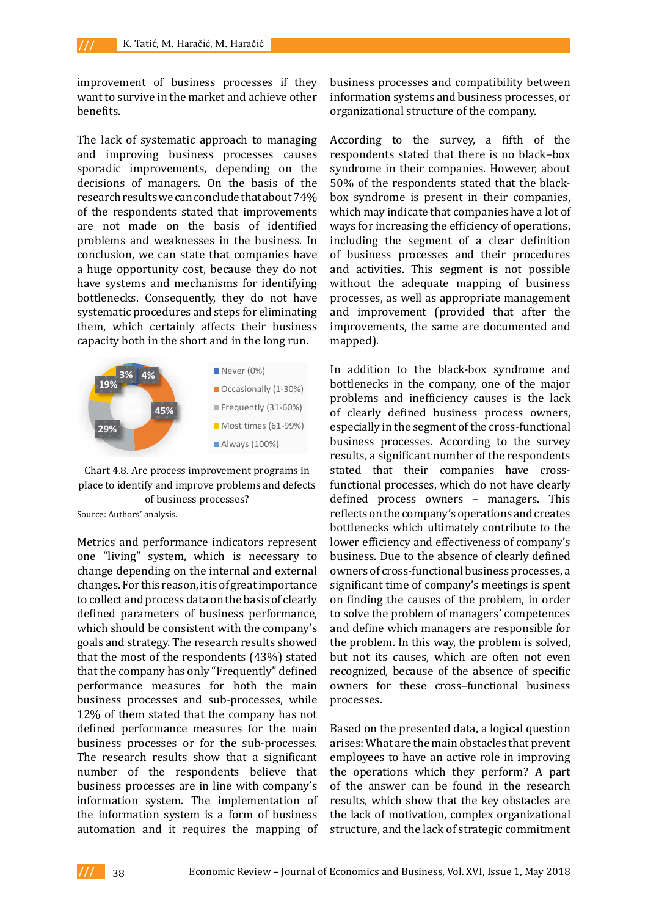improvement of business processes if they want to survive in the market and achieve other benefits. benefits. The company organizational structure of the company. need to improve management of  $\mathbf{b}$  en benefits.

The lack of systematic approach to managing According to process change  $\frac{1}{2}$ The lack of systematic approach to managing<br>and improving business processes causes sporadic improvements, depending on the syndrome in their companies. Ho decisions of managers. On the basis of the 50% of the respondents stated that t research results we can conclude that about 74% of the respondents stated that improvements are not made on the basis of identified problems and weaknesses in the business. In including the segment of a clear of conclusion, we can state that companies have of business processes and their pr a huge opportunity cost, because they do not and activities. This segment is not have systems and mechanisms for identifying without the adequate mapping of bottlenecks. Consequently, they do not have processes, as well as appropriate man systematic procedures and steps for eliminating and improvement (provided that them, which certainly affects their business improvements, the same are docume capacity both in the short and in the long run.



Chart 4.8. Are process improvement programs in stated that their companies has place to identify and improve problems and defects tunc of business processes?

Source: Authors' analysis. Source: Authors' analysis.

change depending on the internal and external contributions which is the change of great change of great one "living" system, which is necessary to business. Due to the absence of clearl change depending on the internal and external owners of cross-functional business pr changes. For this reason, it is of great importance significant time of company's meeting to collect and process data on the basis of clearly on finding the causes of the problem defined parameters of business performance, to solve the problem of managers' cor which should be consistent with the company's and define which managers are respo goals and strategy. The research results showed the problem. In this way, the problem that the most of the respondents  $(43%)$  stated but not its causes, which are often that the company has only "Frequently" defined recognized, because of the absence of performance measures for both the main owners for these cross-functional business processes and sub-processes, while processes. company. business processes or for the sub-processes. arises: What are the main obstacles that The research results show that a significant employees to have an active role in i number of the respondents believe that the operations which they perform business processes are in line with company's of the answer can be found in the information system. The implementation of results, which show that the key obst 12% of them stated that the company has not defined performance measures for the main the information system is a form of business automation and it requires the mapping of

business processes and compatibility between information systems and business processes, or

According to the survey, a fifth of the respondents stated that there is no black-box respondents stated that there is no black–box syndrome in their companies. However, about 50% of the respondents stated that the blackbox syndrome is present in their companies, which may indicate that companies have a lot of ways for increasing the efficiency of operations, including the segment of a clear definition of business processes and their procedures and activities. This segment is not possible without the adequate mapping of business processes, as well as appropriate management and improvement (provided that after the improvements, the same are documented and mapped).

Metrics and performance indicators represent lower efficiency and effectiveness of c **13%**  $\begin{bmatrix} 4\% \\ 4\% \end{bmatrix}$  Never (0%) In addition to the black-box syndrome and bottlenecks in the company, one of the major of clearly defined business process owners, especially in the segment of the cross-functional business processes. According to the survey problems and inefficiency causes is the lack results, a significant number of the respondents stated that their companies have crossfunctional processes, which do not have clearly defined process owners – managers. This reflects on the company's operations and creates bottlenecks which ultimately contribute to the lower efficiency and effectiveness of company's business. Due to the absence of clearly defined owners of cross-functional business processes, a significant time of company's meetings is spent on finding the causes of the problem, in order to solve the problem of managers' competences and define which managers are responsible for the problem. In this way, the problem is solved, but not its causes, which are often not even recognized, because of the absence of specific owners for these cross–functional business processes.

> Based on the presented data, a logical question arises: What are the main obstacles that prevent employees to have an active role in improving the operations which they perform? A part of the answer can be found in the research results, which show that the key obstacles are the lack of motivation, complex organizational structure, and the lack of strategic commitment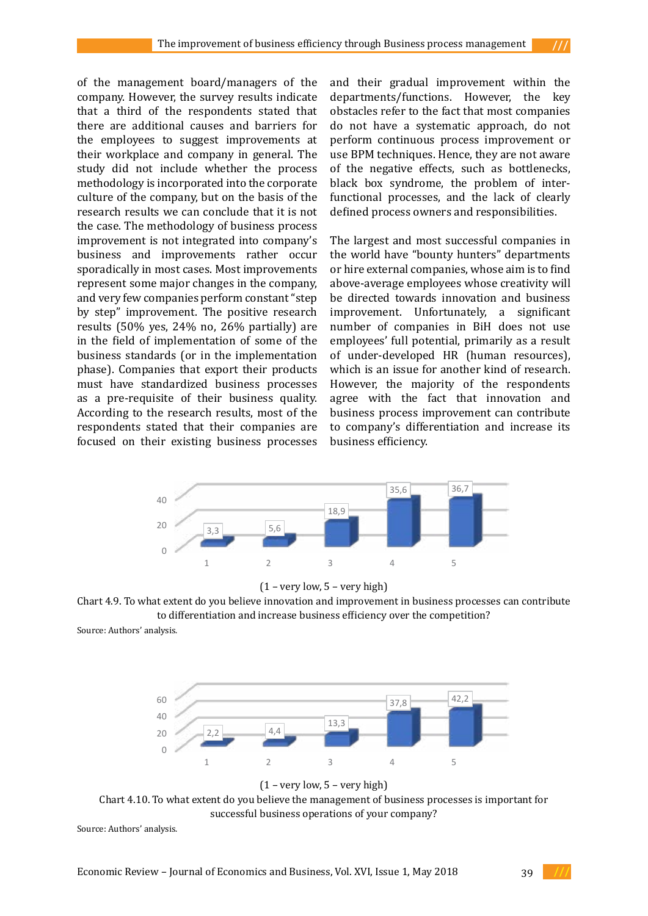of the management board/managers of the company. However, the survey results indicate that a third of the respondents stated that there are additional causes and barriers for the employees to suggest improvements at their workplace and company in general. The study did not include whether the process methodology is incorporated into the corporate culture of the company, but on the basis of the research results we can conclude that it is not the case. The methodology of business process improvement is not integrated into company's business and improvements rather occur sporadically in most cases. Most improvements represent some major changes in the company, and very few companies perform constant "step by step" improvement. The positive research results (50% yes, 24% no, 26% partially) are in the field of implementation of some of the business standards (or in the implementation phase). Companies that export their products must have standardized business processes 40 as a pre-requisite of their business quality. According to the research results, most of the respondents stated that their companies are focused on their existing business processes 0 and their gradual improvement within the departments/functions. However, the key obstacles refer to the fact that most companies do not have a systematic approach, do not perform continuous process improvement or use BPM techniques. Hence, they are not aware of the negative effects, such as bottlenecks, black box syndrome, the problem of interfunctional processes, and the lack of clearly defined process owners and responsibilities.

The largest and most successful companies in the world have "bounty hunters" departments or hire external companies, whose aim is to find above-average employees whose creativity will be directed towards innovation and business improvement. Unfortunately, a significant number of companies in BiH does not use employees' full potential, primarily as a result of under-developed HR (human resources), which is an issue for another kind of research. However, the majority of the respondents agree with the fact that innovation and business process improvement can contribute to company's differentiation and increase its business efficiency.  $\epsilon$  business processes business emerging.





Chart 4.9. To what extent do you believe innovation and improvement in business processes can contribute to what extent to you believe imposed on and improvement in business processes can contribute<br>to differentiation and increase business efficiency over the competition?  $(1 - \text{very now}, 5 - \text{very my input})$ business, primarily through the corporation.

Source: Authors' analysis. can contribute to differentiation and increase business effects over the competition  $\mathcal{L}$  and  $\mathcal{L}$  and  $\mathcal{L}$  and  $\mathcal{L}$  and  $\mathcal{L}$  and  $\mathcal{L}$  and  $\mathcal{L}$  and  $\mathcal{L}$  and  $\mathcal{L}$  and  $\mathcal{L}$  and  $\mathcal{L}$ motivation and the proposition  $r$  and the proposition  $r$  and proposition  $r$ 



 $(1 - \text{very low}, 5 - \text{very high})$ 

successful business operations of your company? Chart 4.10. To what extent do you believe the management of business processes is important for

40 Source: Authors' analysis.

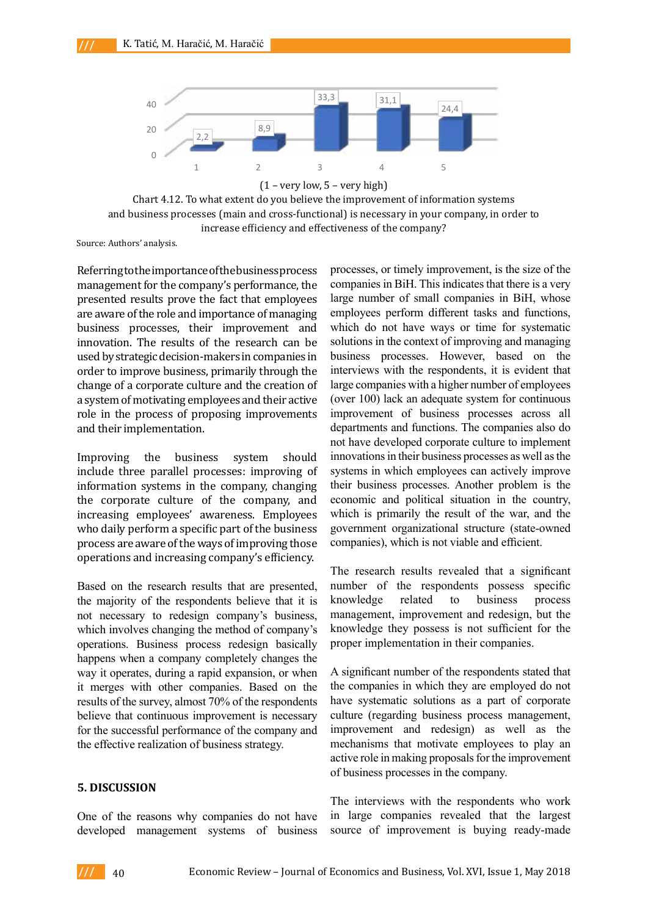company's efficiency.



Chart 4.12. To what extent do you believe the improvement of information systems and business processes (main and cross-functional) is necessary in your company, in order to increase efficiency and effectiveness of the company?

Source: Authors' analysis.

Referring to the importance of the business process management for the company's performance, the presented results prove the fact that employees are aware of the role and importance of managing business processes, their improvement and innovation. The results of the research can be used by strategic decision-makers in companies in order to improve business, primarily through the change of a corporate culture and the creation of a system of motivating employees and their active role in the process of proposing improvements and their implementation.

Improving the business system should include three parallel processes: improving of information systems in the company, changing the corporate culture of the company, and increasing employees' awareness. Employees who daily perform a specific part of the business process are aware of the ways of improving those operations and increasing company's efficiency.

Based on the research results that are presented, the majority of the respondents believe that it is not necessary to redesign company's business, which involves changing the method of company's operations. Business process redesign basically happens when a company completely changes the way it operates, during a rapid expansion, or when it merges with other companies. Based on the results of the survey, almost 70% of the respondents believe that continuous improvement is necessary for the successful performance of the company and the effective realization of business strategy.

#### **5. DISCUSSION**

One of the reasons why companies do not have developed management systems of business processes, or timely improvement, is the size of the companies in BiH. This indicates that there is a very large number of small companies in BiH, whose employees perform different tasks and functions, which do not have ways or time for systematic solutions in the context of improving and managing business processes. However, based on the interviews with the respondents, it is evident that large companies with a higher number of employees (over 100) lack an adequate system for continuous improvement of business processes across all departments and functions. The companies also do not have developed corporate culture to implement innovations in their business processes as well as the systems in which employees can actively improve their business processes. Another problem is the economic and political situation in the country, which is primarily the result of the war, and the government organizational structure (state-owned companies), which is not viable and efficient.

The research results revealed that a significant number of the respondents possess specific knowledge related to business process management, improvement and redesign, but the knowledge they possess is not sufficient for the proper implementation in their companies.

A significant number of the respondents stated that the companies in which they are employed do not have systematic solutions as a part of corporate culture (regarding business process management, improvement and redesign) as well as the mechanisms that motivate employees to play an active role in making proposals for the improvement of business processes in the company.

The interviews with the respondents who work in large companies revealed that the largest source of improvement is buying ready-made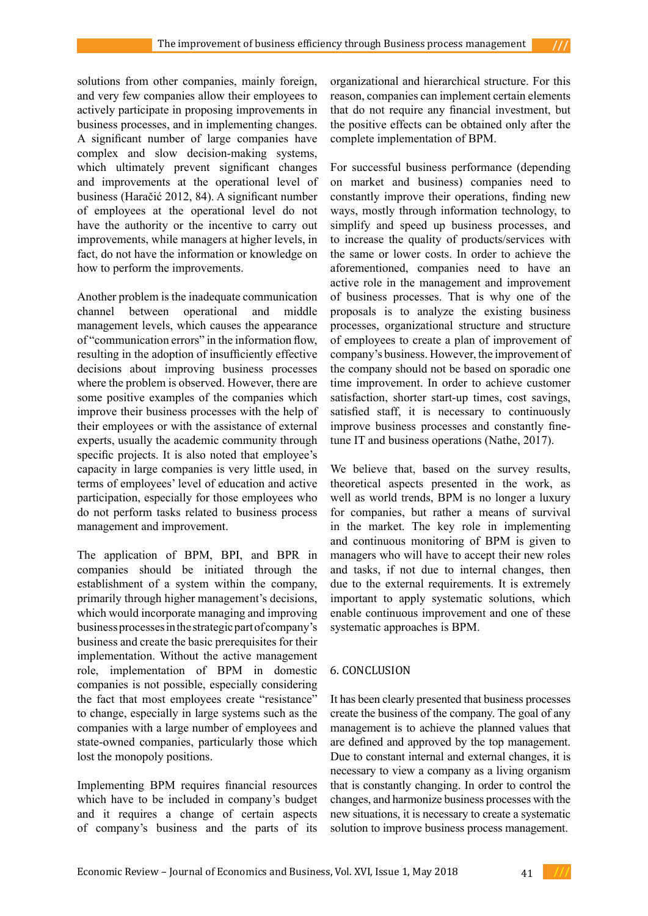solutions from other companies, mainly foreign, and very few companies allow their employees to actively participate in proposing improvements in business processes, and in implementing changes. A significant number of large companies have complex and slow decision-making systems, which ultimately prevent significant changes and improvements at the operational level of business (Haračić 2012, 84). A significant number of employees at the operational level do not have the authority or the incentive to carry out improvements, while managers at higher levels, in fact, do not have the information or knowledge on how to perform the improvements.

Another problem is the inadequate communication channel between operational and middle management levels, which causes the appearance of "communication errors" in the information flow, resulting in the adoption of insufficiently effective decisions about improving business processes where the problem is observed. However, there are some positive examples of the companies which improve their business processes with the help of their employees or with the assistance of external experts, usually the academic community through specific projects. It is also noted that employee's capacity in large companies is very little used, in terms of employees' level of education and active participation, especially for those employees who do not perform tasks related to business process management and improvement.

The application of BPM, BPI, and BPR in companies should be initiated through the establishment of a system within the company, primarily through higher management's decisions, which would incorporate managing and improving business processes in the strategic part of company's business and create the basic prerequisites for their implementation. Without the active management role, implementation of BPM in domestic companies is not possible, especially considering the fact that most employees create "resistance" to change, especially in large systems such as the companies with a large number of employees and state-owned companies, particularly those which lost the monopoly positions.

Implementing BPM requires financial resources which have to be included in company's budget and it requires a change of certain aspects of company's business and the parts of its

organizational and hierarchical structure. For this reason, companies can implement certain elements that do not require any financial investment, but the positive effects can be obtained only after the complete implementation of BPM.

For successful business performance (depending on market and business) companies need to constantly improve their operations, finding new ways, mostly through information technology, to simplify and speed up business processes, and to increase the quality of products/services with the same or lower costs. In order to achieve the aforementioned, companies need to have an active role in the management and improvement of business processes. That is why one of the proposals is to analyze the existing business processes, organizational structure and structure of employees to create a plan of improvement of company's business. However, the improvement of the company should not be based on sporadic one time improvement. In order to achieve customer satisfaction, shorter start-up times, cost savings, satisfied staff, it is necessary to continuously improve business processes and constantly finetune IT and business operations (Nathe, 2017).

We believe that, based on the survey results, theoretical aspects presented in the work, as well as world trends, BPM is no longer a luxury for companies, but rather a means of survival in the market. The key role in implementing and continuous monitoring of BPM is given to managers who will have to accept their new roles and tasks, if not due to internal changes, then due to the external requirements. It is extremely important to apply systematic solutions, which enable continuous improvement and one of these systematic approaches is BPM.

# 6. CONCLUSION

It has been clearly presented that business processes create the business of the company. The goal of any management is to achieve the planned values that are defined and approved by the top management. Due to constant internal and external changes, it is necessary to view a company as a living organism that is constantly changing. In order to control the changes, and harmonize business processes with the new situations, it is necessary to create a systematic solution to improve business process management.

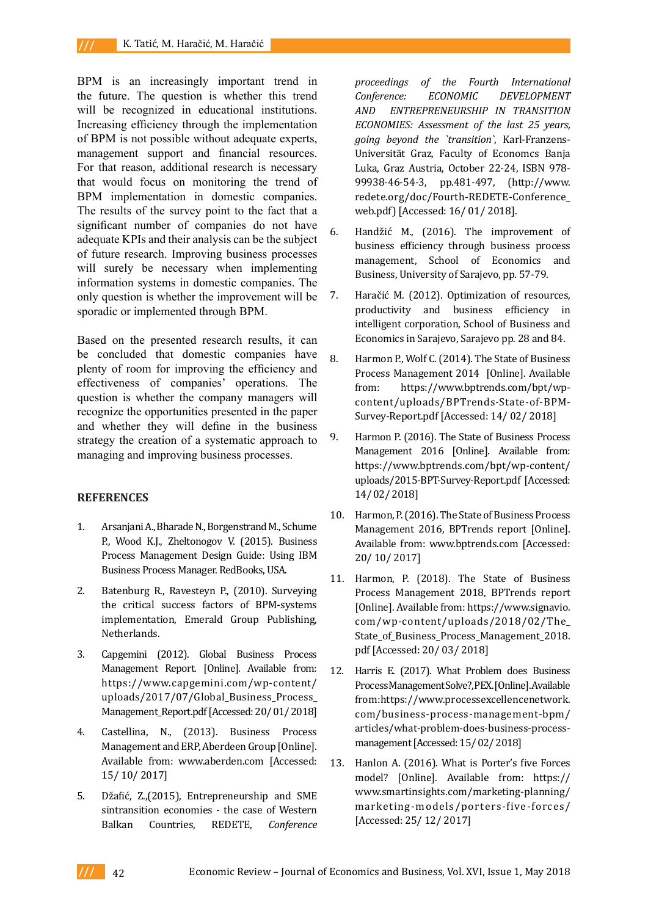BPM is an increasingly important trend in the future. The question is whether this trend will be recognized in educational institutions. Increasing efficiency through the implementation of BPM is not possible without adequate experts, management support and financial resources. For that reason, additional research is necessary that would focus on monitoring the trend of BPM implementation in domestic companies. The results of the survey point to the fact that a significant number of companies do not have adequate KPIs and their analysis can be the subject of future research. Improving business processes will surely be necessary when implementing information systems in domestic companies. The only question is whether the improvement will be sporadic or implemented through BPM.

Based on the presented research results, it can be concluded that domestic companies have plenty of room for improving the efficiency and effectiveness of companies' operations. The question is whether the company managers will recognize the opportunities presented in the paper and whether they will define in the business strategy the creation of a systematic approach to managing and improving business processes.

#### **REFERENCES**

- 1. Arsanjani A., Bharade N., Borgenstrand M., Schume P., Wood K.J., Zheltonogov V. (2015). Business Process Management Design Guide: Using IBM Business Process Manager. RedBooks, USA.
- 2. Batenburg R., Ravesteyn P., (2010). Surveying the critical success factors of BPM-systems implementation, Emerald Group Publishing, Netherlands.
- 3. Capgemini (2012). Global Business Process Management Report. [Online]. Available from: https://www.capgemini.com/wp-content/ uploads/2017/07/Global\_Business\_Process\_ Management Report.pdf [Accessed: 20/ 01/ 2018]
- 4. Castellina, N., (2013). Business Process Management and ERP, Aberdeen Group [Online]. Available from: www.aberden.com [Accessed: 15/ 10/ 2017]
- 5. Džafić, Z.,(2015), Entrepreneurship and SME sintransition economies - the case of Western Balkan Countries, REDETE, *Conference*

*proceedings of the Fourth International Conference: ECONOMIC DEVELOPMENT AND ENTREPRENEURSHIP IN TRANSITION ECONOMIES: Assessment of the last 25 years, going beyond the `transition`*, Karl-Franzens-Universität Graz, Faculty of Economcs Banja Luka, Graz Austria, October 22-24, ISBN 978- 99938-46-54-3, pp.481-497, ([http://www.](http://www.redete.org/doc/Fourth-REDETE-Conference_web.pdf) [redete.org/doc/Fourth-REDETE-Conference\\_](http://www.redete.org/doc/Fourth-REDETE-Conference_web.pdf) [web.pdf\)](http://www.redete.org/doc/Fourth-REDETE-Conference_web.pdf) [Accessed: 16/ 01/ 2018].

- 6. Handžić M., (2016). The improvement of business efficiency through business process management, School of Economics and Business, University of Sarajevo, pp. 57-79.
- 7. Haračić M. (2012). Optimization of resources, productivity and business efficiency in intelligent corporation, School of Business and Economics in Sarajevo, Sarajevo pp. 28 and 84.
- 8. Harmon P., Wolf C. (2014). The State of Business Process Management 2014 [Online]. Available from: https://www.bptrends.com/bpt/wpcontent/uploads/BPTrends-State-of-BPM-Survey-Report.pdf [Accessed: 14/ 02/ 2018]
- 9. Harmon P. (2016). The State of Business Process Management 2016 [Online]. Available from: https://www.bptrends.com/bpt/wp-content/ uploads/2015-BPT-Survey-Report.pdf [Accessed: 14/ 02/ 2018]
- 10. Harmon, P. (2016). The State of Business Process Management 2016, BPTrends report [Online]. Available from: www.bptrends.com [Accessed: 20/ 10/ 2017]
- 11. Harmon, P. (2018). The State of Business Process Management 2018, BPTrends report [Online]. Available from: https://www.signavio. com/wp-content/uploads/2018/02/The\_ State\_of\_Business\_Process\_Management\_2018. pdf [Accessed: 20/ 03/ 2018]
- 12. Harris E. (2017). What Problem does Business Process Management Solve?, PEX. [Online]. Available from:https://www.processexcellencenetwork. com/business-process-management-bpm/ articles/what-problem-does-business-processmanagement [Accessed: 15/ 02/ 2018]
- 13. [Hanlon](https://www.smartinsights.com/author/annmarie-hanlon/) A. (2016). What is Porter's five Forces model? [Online]. Available from: https:// www.smartinsights.com/marketing-planning/ marketing-models/porters-five-forces/ [Accessed: 25/ 12/ 2017]